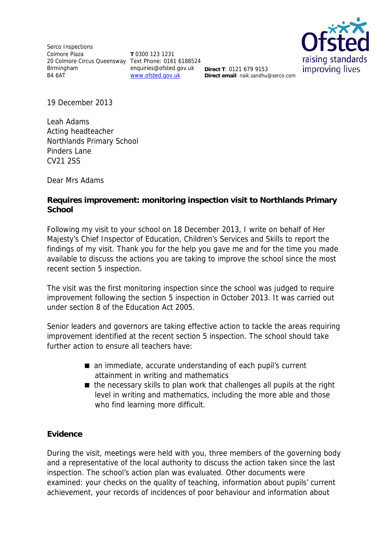Serco Inspections Colmore Plaza 20 Colmore Circus Queensway Text Phone: 0161 6188524 Birmingham B4 6AT

**T** 0300 123 1231 enquiries@ofsted.gov.uk **Direct T**: 0121 679 9153 www.ofsted.gov.uk



**Direct email**: naik.sandhu@serco.com

19 December 2013

Leah Adams Acting headteacher Northlands Primary School Pinders Lane CV21 2SS

Dear Mrs Adams

## **Requires improvement: monitoring inspection visit to Northlands Primary School**

Following my visit to your school on 18 December 2013, I write on behalf of Her Majesty's Chief Inspector of Education, Children's Services and Skills to report the findings of my visit. Thank you for the help you gave me and for the time you made available to discuss the actions you are taking to improve the school since the most recent section 5 inspection.

The visit was the first monitoring inspection since the school was judged to require improvement following the section 5 inspection in October 2013. It was carried out under section 8 of the Education Act 2005.

Senior leaders and governors are taking effective action to tackle the areas requiring improvement identified at the recent section 5 inspection. The school should take further action to ensure all teachers have:

- an immediate, accurate understanding of each pupil's current attainment in writing and mathematics
- the necessary skills to plan work that challenges all pupils at the right level in writing and mathematics, including the more able and those who find learning more difficult.

### **Evidence**

During the visit, meetings were held with you, three members of the governing body and a representative of the local authority to discuss the action taken since the last inspection. The school's action plan was evaluated. Other documents were examined: your checks on the quality of teaching, information about pupils' current achievement, your records of incidences of poor behaviour and information about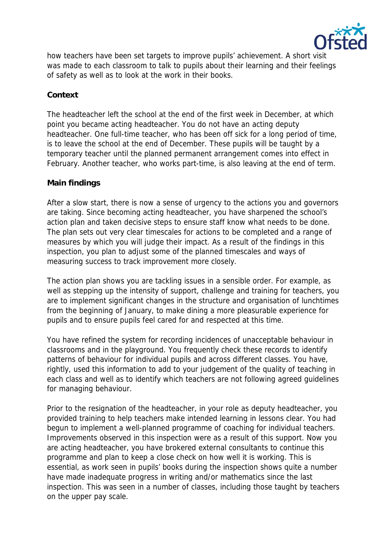

how teachers have been set targets to improve pupils' achievement. A short visit was made to each classroom to talk to pupils about their learning and their feelings of safety as well as to look at the work in their books.

### **Context**

The headteacher left the school at the end of the first week in December, at which point you became acting headteacher. You do not have an acting deputy headteacher. One full-time teacher, who has been off sick for a long period of time, is to leave the school at the end of December. These pupils will be taught by a temporary teacher until the planned permanent arrangement comes into effect in February. Another teacher, who works part-time, is also leaving at the end of term.

### **Main findings**

After a slow start, there is now a sense of urgency to the actions you and governors are taking. Since becoming acting headteacher, you have sharpened the school's action plan and taken decisive steps to ensure staff know what needs to be done. The plan sets out very clear timescales for actions to be completed and a range of measures by which you will judge their impact. As a result of the findings in this inspection, you plan to adjust some of the planned timescales and ways of measuring success to track improvement more closely.

The action plan shows you are tackling issues in a sensible order. For example, as well as stepping up the intensity of support, challenge and training for teachers, you are to implement significant changes in the structure and organisation of lunchtimes from the beginning of January, to make dining a more pleasurable experience for pupils and to ensure pupils feel cared for and respected at this time.

You have refined the system for recording incidences of unacceptable behaviour in classrooms and in the playground. You frequently check these records to identify patterns of behaviour for individual pupils and across different classes. You have, rightly, used this information to add to your judgement of the quality of teaching in each class and well as to identify which teachers are not following agreed guidelines for managing behaviour.

Prior to the resignation of the headteacher, in your role as deputy headteacher, you provided training to help teachers make intended learning in lessons clear. You had begun to implement a well-planned programme of coaching for individual teachers. Improvements observed in this inspection were as a result of this support. Now you are acting headteacher, you have brokered external consultants to continue this programme and plan to keep a close check on how well it is working. This is essential, as work seen in pupils' books during the inspection shows quite a number have made inadequate progress in writing and/or mathematics since the last inspection. This was seen in a number of classes, including those taught by teachers on the upper pay scale.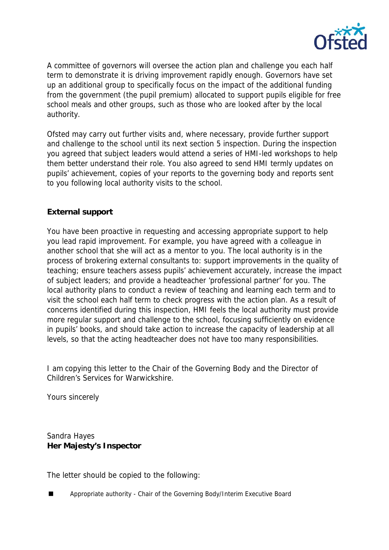

A committee of governors will oversee the action plan and challenge you each half term to demonstrate it is driving improvement rapidly enough. Governors have set up an additional group to specifically focus on the impact of the additional funding from the government (the pupil premium) allocated to support pupils eligible for free school meals and other groups, such as those who are looked after by the local authority.

Ofsted may carry out further visits and, where necessary, provide further support and challenge to the school until its next section 5 inspection. During the inspection you agreed that subject leaders would attend a series of HMI-led workshops to help them better understand their role. You also agreed to send HMI termly updates on pupils' achievement, copies of your reports to the governing body and reports sent to you following local authority visits to the school.

# **External support**

You have been proactive in requesting and accessing appropriate support to help you lead rapid improvement. For example, you have agreed with a colleague in another school that she will act as a mentor to you. The local authority is in the process of brokering external consultants to: support improvements in the quality of teaching; ensure teachers assess pupils' achievement accurately, increase the impact of subject leaders; and provide a headteacher 'professional partner' for you. The local authority plans to conduct a review of teaching and learning each term and to visit the school each half term to check progress with the action plan. As a result of concerns identified during this inspection, HMI feels the local authority must provide more regular support and challenge to the school, focusing sufficiently on evidence in pupils' books, and should take action to increase the capacity of leadership at all levels, so that the acting headteacher does not have too many responsibilities.

I am copying this letter to the Chair of the Governing Body and the Director of Children's Services for Warwickshire.

Yours sincerely

Sandra Hayes **Her Majesty's Inspector** 

The letter should be copied to the following:

Appropriate authority - Chair of the Governing Body/Interim Executive Board